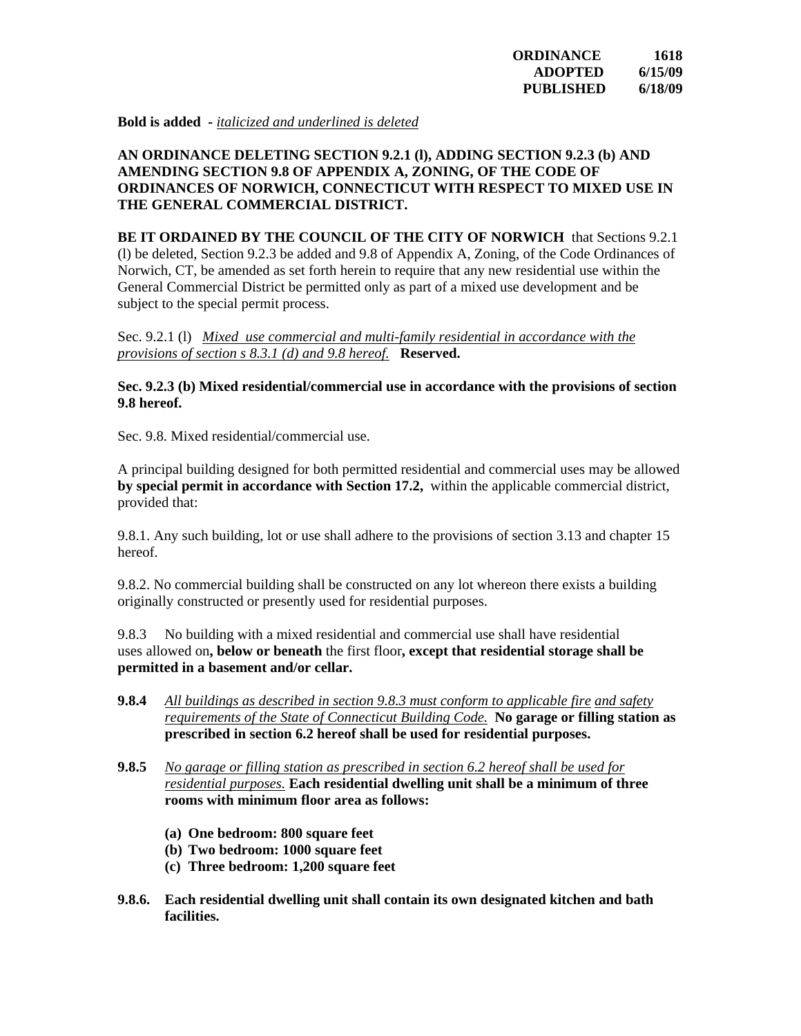**Bold is added -** *italicized and underlined is deleted*

### **AN ORDINANCE DELETING SECTION 9.2.1 (l), ADDING SECTION 9.2.3 (b) AND AMENDING SECTION 9.8 OF APPENDIX A, ZONING, OF THE CODE OF ORDINANCES OF NORWICH, CONNECTICUT WITH RESPECT TO MIXED USE IN THE GENERAL COMMERCIAL DISTRICT.**

**BE IT ORDAINED BY THE COUNCIL OF THE CITY OF NORWICH** that Sections 9.2.1 (l) be deleted, Section 9.2.3 be added and 9.8 of Appendix A, Zoning, of the Code Ordinances of Norwich, CT, be amended as set forth herein to require that any new residential use within the General Commercial District be permitted only as part of a mixed use development and be subject to the special permit process.

Sec. 9.2.1 (l) *Mixed use commercial and multi-family residential in accordance with the provisions of section s 8.3.1 (d) and 9.8 hereof.* **Reserved.** 

#### **Sec. 9.2.3 (b) Mixed residential/commercial use in accordance with the provisions of section 9.8 hereof.**

Sec. 9.8. Mixed residential/commercial use.

A principal building designed for both permitted residential and commercial uses may be allowed **by special permit in accordance with Section 17.2,** within the applicable commercial district, provided that:

9.8.1. Any such building, lot or use shall adhere to the provisions of section 3.13 and chapter 15 hereof.

9.8.2. No commercial building shall be constructed on any lot whereon there exists a building originally constructed or presently used for residential purposes.

9.8.3 No building with a mixed residential and commercial use shall have residential uses allowed on**, below or beneath** the first floor**, except that residential storage shall be permitted in a basement and/or cellar.**

- **9.8.4** *All buildings as described in section 9.8.3 must conform to applicable fire and safety requirements of the State of Connecticut Building Code.* **No garage or filling station as prescribed in section 6.2 hereof shall be used for residential purposes.**
- **9.8.5** *No garage or filling station as prescribed in section 6.2 hereof shall be used for residential purposes.* **Each residential dwelling unit shall be a minimum of three rooms with minimum floor area as follows:** 
	- **(a) One bedroom: 800 square feet**
	- **(b) Two bedroom: 1000 square feet**
	- **(c) Three bedroom: 1,200 square feet**
- **9.8.6. Each residential dwelling unit shall contain its own designated kitchen and bath facilities.**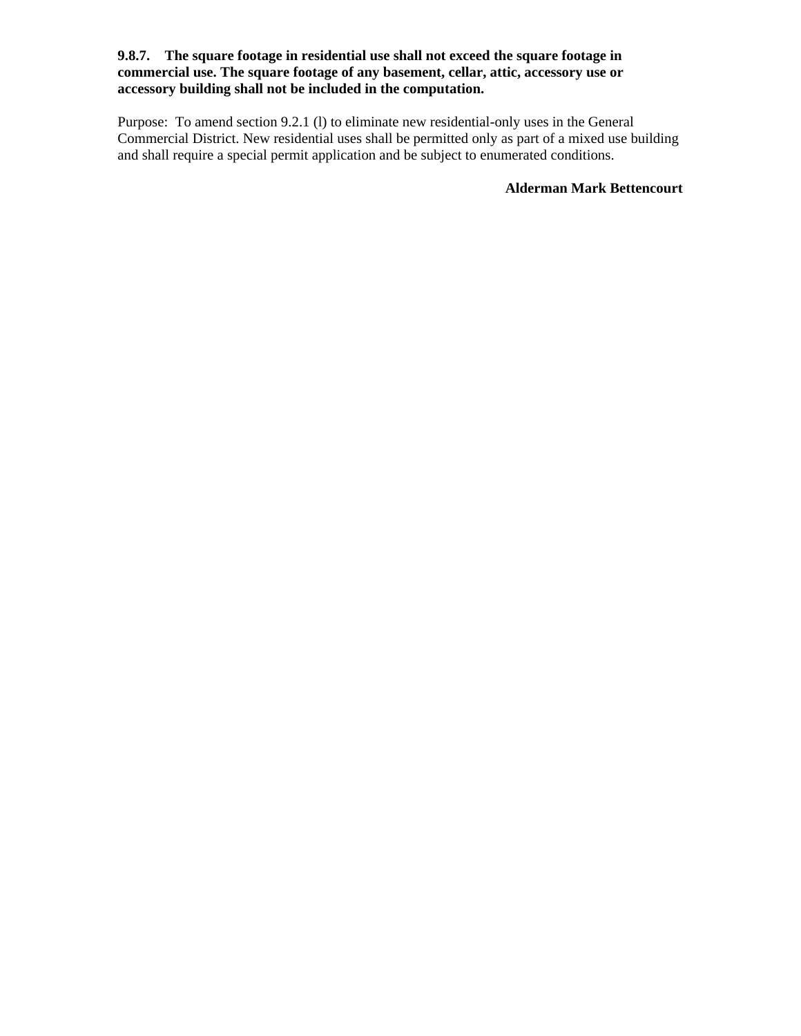### **9.8.7. The square footage in residential use shall not exceed the square footage in commercial use. The square footage of any basement, cellar, attic, accessory use or accessory building shall not be included in the computation.**

Purpose: To amend section 9.2.1 (l) to eliminate new residential-only uses in the General Commercial District. New residential uses shall be permitted only as part of a mixed use building and shall require a special permit application and be subject to enumerated conditions.

**Alderman Mark Bettencourt**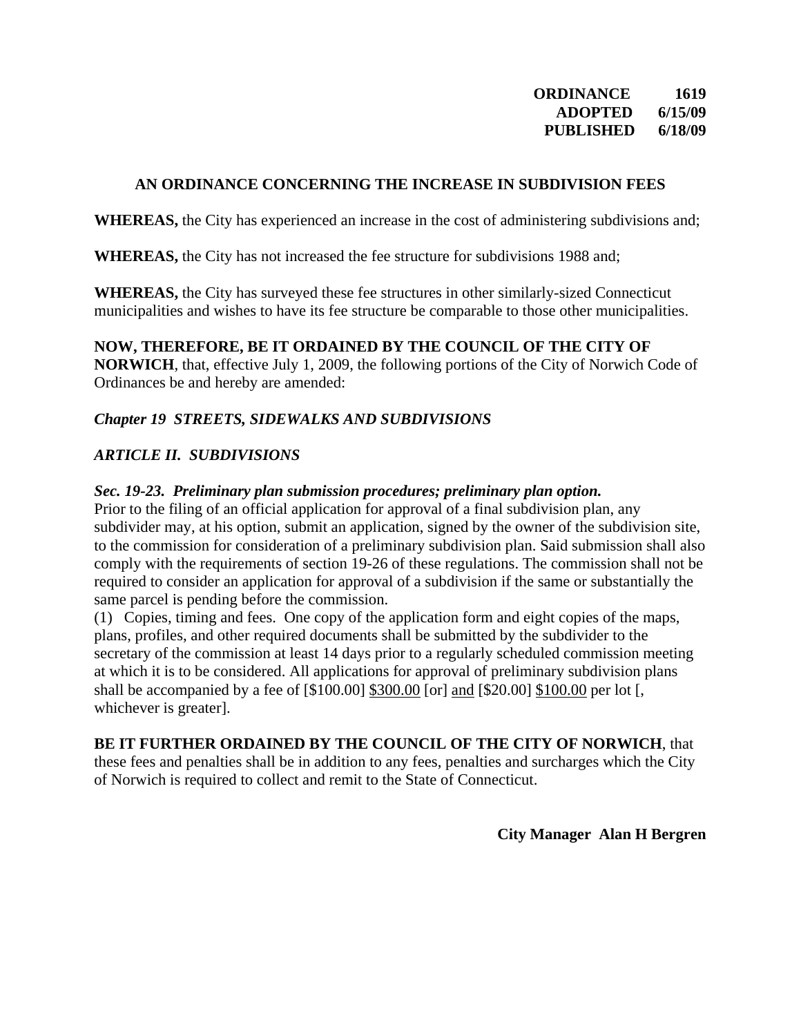**ORDINANCE 1619 ADOPTED 6/15/09 PUBLISHED 6/18/09** 

# **AN ORDINANCE CONCERNING THE INCREASE IN SUBDIVISION FEES**

**WHEREAS,** the City has experienced an increase in the cost of administering subdivisions and;

**WHEREAS,** the City has not increased the fee structure for subdivisions 1988 and;

**WHEREAS,** the City has surveyed these fee structures in other similarly-sized Connecticut municipalities and wishes to have its fee structure be comparable to those other municipalities.

**NOW, THEREFORE, BE IT ORDAINED BY THE COUNCIL OF THE CITY OF NORWICH**, that, effective July 1, 2009, the following portions of the City of Norwich Code of Ordinances be and hereby are amended:

# *Chapter 19 STREETS, SIDEWALKS AND SUBDIVISIONS*

# *ARTICLE II. SUBDIVISIONS*

## *Sec. 19-23. Preliminary plan submission procedures; preliminary plan option.*

Prior to the filing of an official application for approval of a final subdivision plan, any subdivider may, at his option, submit an application, signed by the owner of the subdivision site, to the commission for consideration of a preliminary subdivision plan. Said submission shall also comply with the requirements of section 19-26 of these regulations. The commission shall not be required to consider an application for approval of a subdivision if the same or substantially the same parcel is pending before the commission.

(1) Copies, timing and fees. One copy of the application form and eight copies of the maps, plans, profiles, and other required documents shall be submitted by the subdivider to the secretary of the commission at least 14 days prior to a regularly scheduled commission meeting at which it is to be considered. All applications for approval of preliminary subdivision plans shall be accompanied by a fee of [\$100.00] \$300.00 [or] and [\$20.00] \$100.00 per lot [, whichever is greater].

## **BE IT FURTHER ORDAINED BY THE COUNCIL OF THE CITY OF NORWICH**, that

these fees and penalties shall be in addition to any fees, penalties and surcharges which the City of Norwich is required to collect and remit to the State of Connecticut.

**City Manager Alan H Bergren**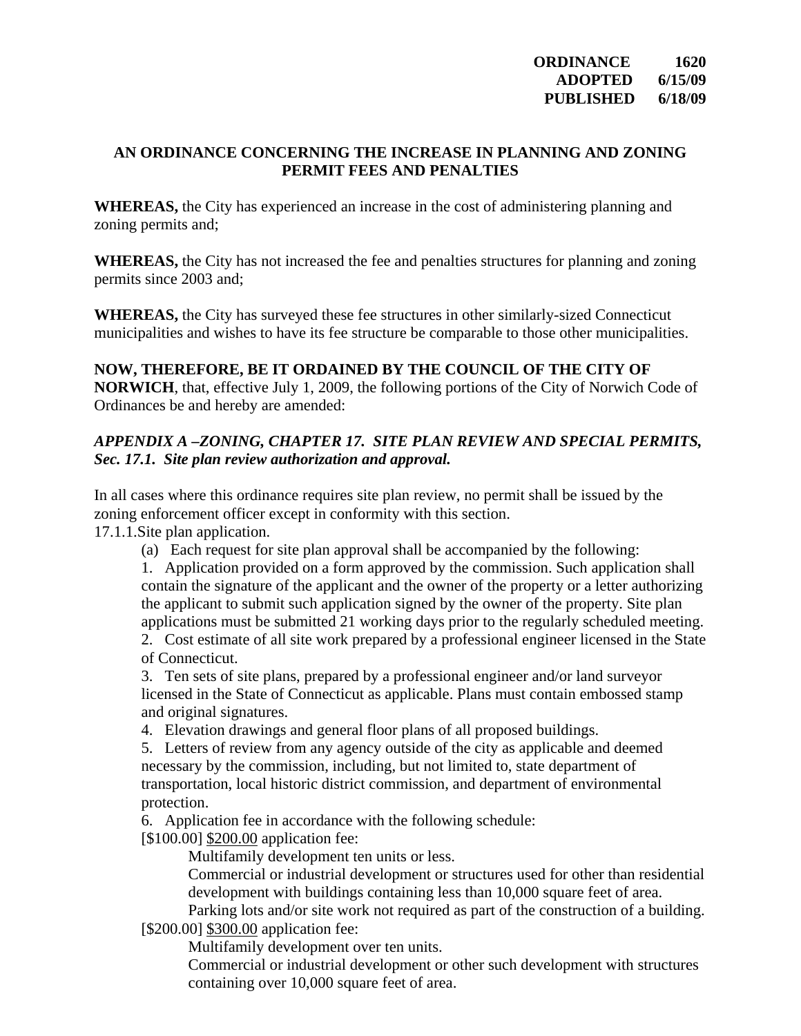# **AN ORDINANCE CONCERNING THE INCREASE IN PLANNING AND ZONING PERMIT FEES AND PENALTIES**

**WHEREAS,** the City has experienced an increase in the cost of administering planning and zoning permits and;

**WHEREAS,** the City has not increased the fee and penalties structures for planning and zoning permits since 2003 and;

**WHEREAS,** the City has surveyed these fee structures in other similarly-sized Connecticut municipalities and wishes to have its fee structure be comparable to those other municipalities.

# **NOW, THEREFORE, BE IT ORDAINED BY THE COUNCIL OF THE CITY OF NORWICH**, that, effective July 1, 2009, the following portions of the City of Norwich Code of Ordinances be and hereby are amended:

# *APPENDIX A –ZONING, CHAPTER 17. SITE PLAN REVIEW AND SPECIAL PERMITS, Sec. 17.1. Site plan review authorization and approval.*

In all cases where this ordinance requires site plan review, no permit shall be issued by the zoning enforcement officer except in conformity with this section.

17.1.1.Site plan application.

(a) Each request for site plan approval shall be accompanied by the following:

1. Application provided on a form approved by the commission. Such application shall contain the signature of the applicant and the owner of the property or a letter authorizing the applicant to submit such application signed by the owner of the property. Site plan applications must be submitted 21 working days prior to the regularly scheduled meeting.

2. Cost estimate of all site work prepared by a professional engineer licensed in the State of Connecticut.

3. Ten sets of site plans, prepared by a professional engineer and/or land surveyor licensed in the State of Connecticut as applicable. Plans must contain embossed stamp and original signatures.

4. Elevation drawings and general floor plans of all proposed buildings.

5. Letters of review from any agency outside of the city as applicable and deemed necessary by the commission, including, but not limited to, state department of transportation, local historic district commission, and department of environmental protection.

6. Application fee in accordance with the following schedule:

[\$100.00] \$200.00 application fee:

Multifamily development ten units or less.

Commercial or industrial development or structures used for other than residential development with buildings containing less than 10,000 square feet of area.

Parking lots and/or site work not required as part of the construction of a building. [\$200.00] \$300.00 application fee:

Multifamily development over ten units.

Commercial or industrial development or other such development with structures containing over 10,000 square feet of area.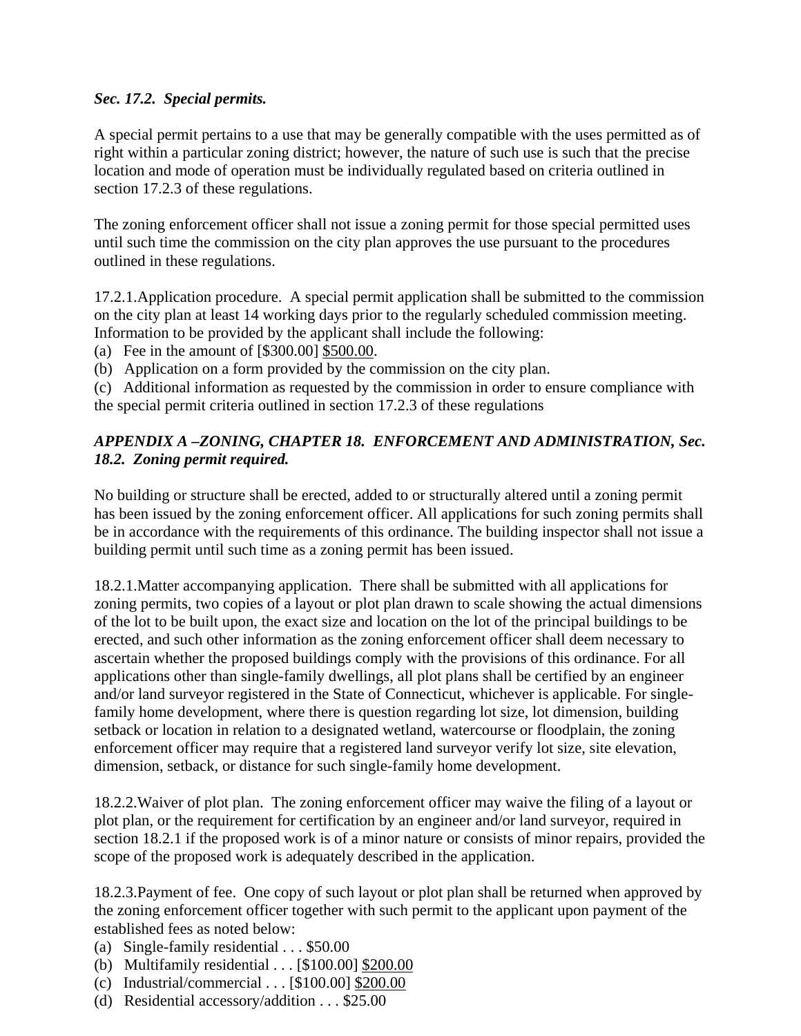# *Sec. 17.2. Special permits.*

A special permit pertains to a use that may be generally compatible with the uses permitted as of right within a particular zoning district; however, the nature of such use is such that the precise location and mode of operation must be individually regulated based on criteria outlined in section 17.2.3 of these regulations.

The zoning enforcement officer shall not issue a zoning permit for those special permitted uses until such time the commission on the city plan approves the use pursuant to the procedures outlined in these regulations.

17.2.1.Application procedure. A special permit application shall be submitted to the commission on the city plan at least 14 working days prior to the regularly scheduled commission meeting. Information to be provided by the applicant shall include the following:

(a) Fee in the amount of [\$300.00] \$500.00.

(b) Application on a form provided by the commission on the city plan.

(c) Additional information as requested by the commission in order to ensure compliance with the special permit criteria outlined in section 17.2.3 of these regulations

# *APPENDIX A –ZONING, CHAPTER 18. ENFORCEMENT AND ADMINISTRATION, Sec. 18.2. Zoning permit required.*

No building or structure shall be erected, added to or structurally altered until a zoning permit has been issued by the zoning enforcement officer. All applications for such zoning permits shall be in accordance with the requirements of this ordinance. The building inspector shall not issue a building permit until such time as a zoning permit has been issued.

18.2.1.Matter accompanying application. There shall be submitted with all applications for zoning permits, two copies of a layout or plot plan drawn to scale showing the actual dimensions of the lot to be built upon, the exact size and location on the lot of the principal buildings to be erected, and such other information as the zoning enforcement officer shall deem necessary to ascertain whether the proposed buildings comply with the provisions of this ordinance. For all applications other than single-family dwellings, all plot plans shall be certified by an engineer and/or land surveyor registered in the State of Connecticut, whichever is applicable. For singlefamily home development, where there is question regarding lot size, lot dimension, building setback or location in relation to a designated wetland, watercourse or floodplain, the zoning enforcement officer may require that a registered land surveyor verify lot size, site elevation, dimension, setback, or distance for such single-family home development.

18.2.2.Waiver of plot plan. The zoning enforcement officer may waive the filing of a layout or plot plan, or the requirement for certification by an engineer and/or land surveyor, required in section 18.2.1 if the proposed work is of a minor nature or consists of minor repairs, provided the scope of the proposed work is adequately described in the application.

18.2.3.Payment of fee. One copy of such layout or plot plan shall be returned when approved by the zoning enforcement officer together with such permit to the applicant upon payment of the established fees as noted below:

- (a) Single-family residential . . . \$50.00
- (b) Multifamily residential . . . [\$100.00] \$200.00
- (c) Industrial/commercial . . . [\$100.00] \$200.00
- (d) Residential accessory/addition . . . \$25.00